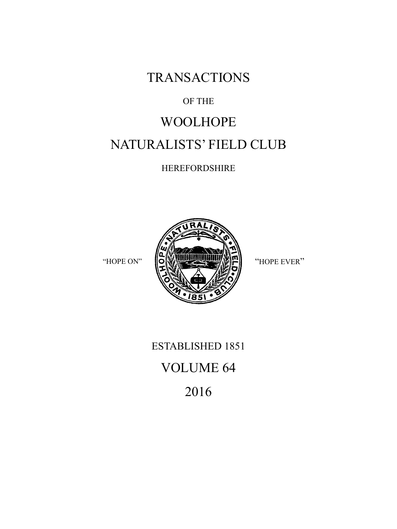**TRANSACTIONS** 

### OF THE

# WOOLHOPE NATURALISTS' FIELD CLUB

HEREFORDSHIRE



ESTABLISHED 1851 VOLUME 64 2016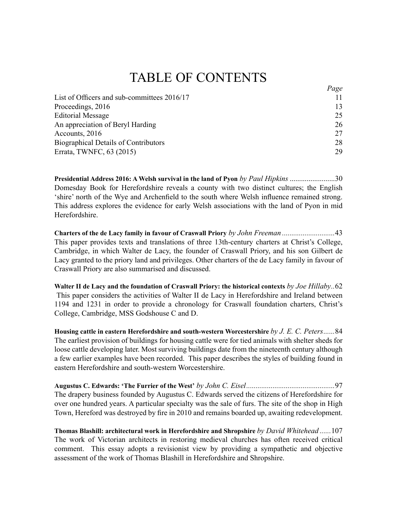## **TABLE OF CONTENTS**

 $D_{\alpha\alpha\delta}$ 

| $1 \mu \leq c$ |
|----------------|
|                |
| 13             |
| 25             |
| 26             |
| 27             |
| 28             |
| 29             |
|                |

Presidential Address 2016: A Welsh survival in the land of Pyon by Paul Hipkins ........................30 Domesday Book for Herefordshire reveals a county with two distinct cultures; the English 'shire' north of the Wye and Archenfield to the south where Welsh influence remained strong. This address explores the evidence for early Welsh associations with the land of Pyon in mid Herefordshire.

This paper provides texts and translations of three 13th-century charters at Christ's College, Cambridge, in which Walter de Lacy, the founder of Craswall Priory, and his son Gilbert de Lacy granted to the priory land and privileges. Other charters of the de Lacy family in favour of Craswall Priory are also summarised and discussed.

Walter II de Lacy and the foundation of Craswall Priory: the historical contexts by Joe Hillaby..62 This paper considers the activities of Walter II de Lacy in Herefordshire and Ireland between 1194 and 1231 in order to provide a chronology for Craswall foundation charters, Christ's College, Cambridge, MSS Godshouse C and D.

Housing cattle in eastern Herefordshire and south-western Worcestershire by J. E. C. Peters......84 The earliest provision of buildings for housing cattle were for tied animals with shelter sheds for loose cattle developing later. Most surviving buildings date from the nineteenth century although a few earlier examples have been recorded. This paper describes the styles of building found in eastern Herefordshire and south-western Worcestershire

The drapery business founded by Augustus C. Edwards served the citizens of Herefordshire for over one hundred years. A particular specialty was the sale of furs. The site of the shop in High Town, Hereford was destroyed by fire in 2010 and remains boarded up, awaiting redevelopment.

Thomas Blashill: architectural work in Herefordshire and Shropshire by David Whitehead......107 The work of Victorian architects in restoring medieval churches has often received critical comment. This essay adopts a revisionist view by providing a sympathetic and objective assessment of the work of Thomas Blashill in Herefordshire and Shropshire.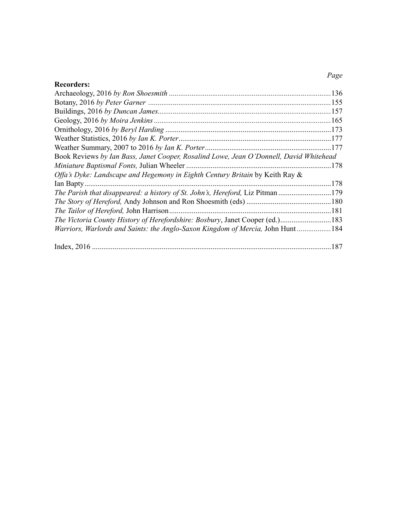### Page

| <b>Recorders:</b>                                                                      |  |
|----------------------------------------------------------------------------------------|--|
|                                                                                        |  |
|                                                                                        |  |
|                                                                                        |  |
|                                                                                        |  |
|                                                                                        |  |
|                                                                                        |  |
|                                                                                        |  |
| Book Reviews by Ian Bass, Janet Cooper, Rosalind Lowe, Jean O'Donnell, David Whitehead |  |
|                                                                                        |  |
| Offa's Dyke: Landscape and Hegemony in Eighth Century Britain by Keith Ray &           |  |
|                                                                                        |  |
| The Parish that disappeared: a history of St. John's, Hereford, Liz Pitman 179         |  |
|                                                                                        |  |
|                                                                                        |  |
| The Victoria County History of Herefordshire: Bosbury, Janet Cooper (ed.)183           |  |
| Warriors, Warlords and Saints: the Anglo-Saxon Kingdom of Mercia, John Hunt 184        |  |
|                                                                                        |  |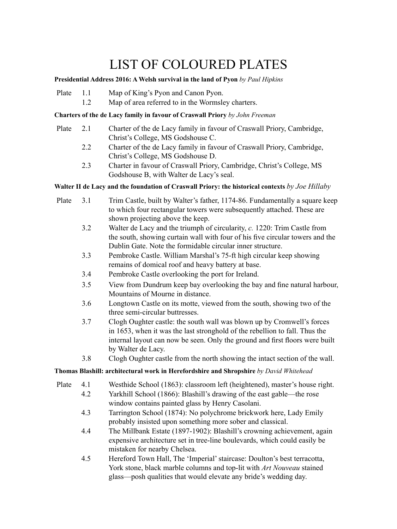# LIST OF COLOURED PLATES

#### **Presidential Address 2016: A Welsh survival in the land of Pyon** *by Paul Hipkins*

- Plate 1.1 Map of King's Pyon and Canon Pyon.
	- 1.2 Map of area referred to in the Wormsley charters.

#### **Charters of the de Lacy family in favour of Craswall Priory** *by John Freeman*

- Plate 2.1 Charter of the de Lacy family in favour of Craswall Priory, Cambridge, Christ's College, MS Godshouse C.
	- 2.2 Charter of the de Lacy family in favour of Craswall Priory, Cambridge, Christ's College, MS Godshouse D.
	- 2.3 Charter in favour of Craswall Priory, Cambridge, Christ's College, MS Godshouse B, with Walter de Lacy's seal.

#### **Walter II de Lacy and the foundation of Craswall Priory: the historical contexts** *by Joe Hillaby*

- Plate 3.1 Trim Castle, built by Walter's father, 1174-86. Fundamentally a square keep to which four rectangular towers were subsequently attached. These are shown projecting above the keep. 3.2 Walter de Lacy and the triumph of circularity, *c.* 1220: Trim Castle from the south, showing curtain wall with four of his five circular towers and the Dublin Gate. Note the formidable circular inner structure. 3.3 Pembroke Castle. William Marshal's 75-ft high circular keep showing remains of domical roof and heavy battery at base. 3.4 Pembroke Castle overlooking the port for Ireland. 3.5 View from Dundrum keep bay overlooking the bay and fine natural harbour, Mountains of Mourne in distance. 3.6 Longtown Castle on its motte, viewed from the south, showing two of the three semi-circular buttresses. 3.7 Clogh Oughter castle: the south wall was blown up by Cromwell's forces in 1653, when it was the last stronghold of the rebellion to fall. Thus the internal layout can now be seen. Only the ground and first floors were built by Walter de Lacy. 3.8 Clogh Oughter castle from the north showing the intact section of the wall. **Thomas Blashill: architectural work in Herefordshire and Shropshire** *by David Whitehead* Plate 4.1 Westhide School (1863): classroom left (heightened), master's house right. 4.2 Yarkhill School (1866): Blashill's drawing of the east gable—the rose window contains painted glass by Henry Casolani. 4.3 Tarrington School (1874): No polychrome brickwork here, Lady Emily probably insisted upon something more sober and classical.
	- 4.4 The Millbank Estate (1897-1902): Blashill's crowning achievement, again expensive architecture set in tree-line boulevards, which could easily be mistaken for nearby Chelsea.
	- 4.5 Hereford Town Hall, The 'Imperial' staircase: Doulton's best terracotta, York stone, black marble columns and top-lit with *Art Nouveau* stained glass—posh qualities that would elevate any bride's wedding day.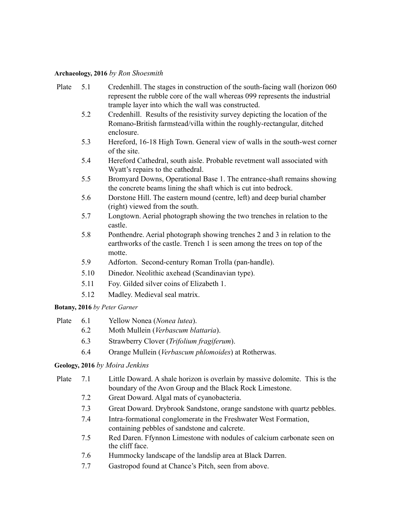#### **Archaeology, 2016** *by Ron Shoesmith*

- Plate 5.1 Credenhill. The stages in construction of the south-facing wall (horizon 060 represent the rubble core of the wall whereas 099 represents the industrial trample layer into which the wall was constructed.
	- 5.2 Credenhill. Results of the resistivity survey depicting the location of the Romano-British farmstead/villa within the roughly-rectangular, ditched enclosure.
	- 5.3 Hereford, 16-18 High Town. General view of walls in the south-west corner of the site.
	- 5.4 Hereford Cathedral, south aisle. Probable revetment wall associated with Wyatt's repairs to the cathedral.
	- 5.5 Bromyard Downs, Operational Base 1. The entrance-shaft remains showing the concrete beams lining the shaft which is cut into bedrock.
	- 5.6 Dorstone Hill. The eastern mound (centre, left) and deep burial chamber (right) viewed from the south.
	- 5.7 Longtown. Aerial photograph showing the two trenches in relation to the castle.
	- 5.8 Ponthendre. Aerial photograph showing trenches 2 and 3 in relation to the earthworks of the castle. Trench 1 is seen among the trees on top of the motte.
	- 5.9 Adforton. Second-century Roman Trolla (pan-handle).
	- 5.10 Dinedor. Neolithic axehead (Scandinavian type).
	- 5.11 Foy. Gilded silver coins of Elizabeth 1.
	- 5.12 Madley. Medieval seal matrix.

#### **Botany, 2016** *by Peter Garner*

| Plate |  | Yellow Nonea (Nonea lutea). |  |
|-------|--|-----------------------------|--|
|-------|--|-----------------------------|--|

- 6.2 Moth Mullein (*Verbascum blattaria*).
- 6.3 Strawberry Clover (*Trifolium fragiferum*).
- 6.4 Orange Mullein (*Verbascum phlomoides*) at Rotherwas.

#### **Geology, 2016** *by Moira Jenkins*

- Plate 7.1 Little Doward. A shale horizon is overlain by massive dolomite. This is the boundary of the Avon Group and the Black Rock Limestone.
	- 7.2 Great Doward. Algal mats of cyanobacteria.
	- 7.3 Great Doward. Drybrook Sandstone, orange sandstone with quartz pebbles.
	- 7.4 Intra-formational conglomerate in the Freshwater West Formation, containing pebbles of sandstone and calcrete.
	- 7.5 Red Daren. Ffynnon Limestone with nodules of calcium carbonate seen on the cliff face.
	- 7.6 Hummocky landscape of the landslip area at Black Darren.
	- 7.7 Gastropod found at Chance's Pitch, seen from above.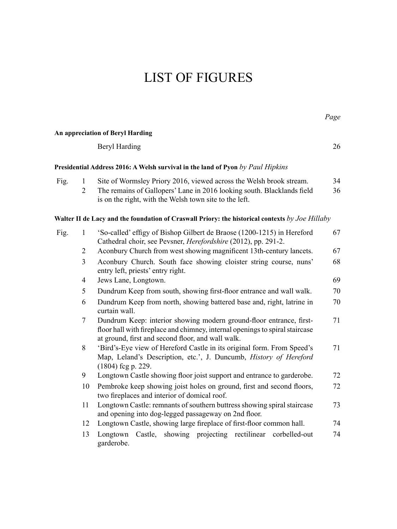# LIST OF FIGURES

|      |                                |                                                                                                                                                                                                          | Page     |
|------|--------------------------------|----------------------------------------------------------------------------------------------------------------------------------------------------------------------------------------------------------|----------|
|      |                                | An appreciation of Beryl Harding                                                                                                                                                                         |          |
|      |                                | Beryl Harding                                                                                                                                                                                            | 26       |
|      |                                | Presidential Address 2016: A Welsh survival in the land of Pyon by Paul Hipkins                                                                                                                          |          |
| Fig. | $\mathbf{1}$<br>$\overline{2}$ | Site of Wormsley Priory 2016, viewed across the Welsh brook stream.<br>The remains of Gallopers' Lane in 2016 looking south. Blacklands field<br>is on the right, with the Welsh town site to the left.  | 34<br>36 |
|      |                                | Walter II de Lacy and the foundation of Craswall Priory: the historical contexts by Joe Hillaby                                                                                                          |          |
| Fig. | $\mathbf{1}$                   | 'So-called' effigy of Bishop Gilbert de Braose (1200-1215) in Hereford<br>Cathedral choir, see Pevsner, Herefordshire (2012), pp. 291-2.                                                                 | 67       |
|      | $\overline{2}$                 | Aconbury Church from west showing magnificent 13th-century lancets.                                                                                                                                      | 67       |
|      | 3                              | Aconbury Church. South face showing cloister string course, nuns'<br>entry left, priests' entry right.                                                                                                   | 68       |
|      | $\overline{4}$                 | Jews Lane, Longtown.                                                                                                                                                                                     | 69       |
|      | 5                              | Dundrum Keep from south, showing first-floor entrance and wall walk.                                                                                                                                     | 70       |
|      | 6                              | Dundrum Keep from north, showing battered base and, right, latrine in<br>curtain wall.                                                                                                                   | 70       |
|      | 7                              | Dundrum Keep: interior showing modern ground-floor entrance, first-<br>floor hall with fireplace and chimney, internal openings to spiral staircase<br>at ground, first and second floor, and wall walk. | 71       |
|      | 8                              | 'Bird's-Eye view of Hereford Castle in its original form. From Speed's<br>Map, Leland's Description, etc.', J. Duncumb, History of Hereford<br>(1804) fcg p. 229.                                        | 71       |
|      | 9                              | Longtown Castle showing floor joist support and entrance to garderobe.                                                                                                                                   | 72       |
|      | 10                             | Pembroke keep showing joist holes on ground, first and second floors,<br>two fireplaces and interior of domical roof.                                                                                    | 72       |
|      | 11                             | Longtown Castle: remnants of southern buttress showing spiral staircase<br>and opening into dog-legged passageway on 2nd floor.                                                                          | 73       |
|      | 12                             | Longtown Castle, showing large fireplace of first-floor common hall.                                                                                                                                     | 74       |
|      | 13                             | Castle, showing projecting rectilinear corbelled-out<br>Longtown<br>garderobe.                                                                                                                           | 74       |

*Page*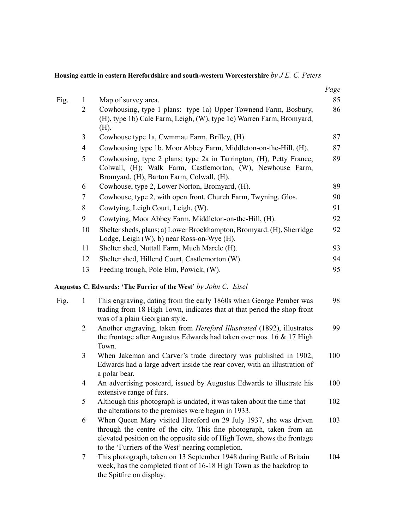**Housing cattle in eastern Herefordshire and south-western Worcestershire** *by J E. C. Peters*

|      |                                |                                                                                                                                                                                                                                                                         | Page<br>85 |
|------|--------------------------------|-------------------------------------------------------------------------------------------------------------------------------------------------------------------------------------------------------------------------------------------------------------------------|------------|
| Fig. | $\mathbf{1}$<br>$\overline{2}$ | Map of survey area.<br>Cowhousing, type 1 plans: type 1a) Upper Townend Farm, Bosbury,<br>(H), type 1b) Cale Farm, Leigh, (W), type 1c) Warren Farm, Bromyard,<br>(H).                                                                                                  | 86         |
|      | 3                              | Cowhouse type 1a, Cwmmau Farm, Brilley, (H).                                                                                                                                                                                                                            | 87         |
|      | $\overline{4}$                 | Cowhousing type 1b, Moor Abbey Farm, Middleton-on-the-Hill, (H).                                                                                                                                                                                                        | 87         |
|      | 5                              | Cowhousing, type 2 plans; type 2a in Tarrington, (H), Petty France,<br>Colwall, (H); Walk Farm, Castlemorton, (W), Newhouse Farm,<br>Bromyard, (H), Barton Farm, Colwall, (H).                                                                                          | 89         |
|      | 6                              | Cowhouse, type 2, Lower Norton, Bromyard, (H).                                                                                                                                                                                                                          | 89         |
|      | 7                              | Cowhouse, type 2, with open front, Church Farm, Twyning, Glos.                                                                                                                                                                                                          | 90         |
|      | 8                              | Cowtying, Leigh Court, Leigh, (W).                                                                                                                                                                                                                                      | 91         |
|      | 9                              | Cowtying, Moor Abbey Farm, Middleton-on-the-Hill, (H).                                                                                                                                                                                                                  | 92         |
|      | 10                             | Shelter sheds, plans; a) Lower Brockhampton, Bromyard. (H), Sherridge<br>Lodge, Leigh (W), b) near Ross-on-Wye (H).                                                                                                                                                     | 92         |
|      | 11                             | Shelter shed, Nuttall Farm, Much Marcle (H).                                                                                                                                                                                                                            | 93         |
|      | 12                             | Shelter shed, Hillend Court, Castlemorton (W).                                                                                                                                                                                                                          | 94         |
|      | 13                             | Feeding trough, Pole Elm, Powick, (W).                                                                                                                                                                                                                                  | 95         |
|      |                                | Augustus C. Edwards: 'The Furrier of the West' by John C. Eisel                                                                                                                                                                                                         |            |
| Fig. | $\mathbf{1}$                   | This engraving, dating from the early 1860s when George Pember was<br>trading from 18 High Town, indicates that at that period the shop front<br>was of a plain Georgian style.                                                                                         | 98         |
|      | $\overline{2}$                 | Another engraving, taken from Hereford Illustrated (1892), illustrates<br>the frontage after Augustus Edwards had taken over nos. 16 & 17 High<br>Town.                                                                                                                 | 99         |
|      | 3                              | When Jakeman and Carver's trade directory was published in 1902,<br>Edwards had a large advert inside the rear cover, with an illustration of<br>a polar bear.                                                                                                          | 100        |
|      | 4                              | An advertising postcard, issued by Augustus Edwards to illustrate his<br>extensive range of furs.                                                                                                                                                                       | 100        |
|      | 5                              | Although this photograph is undated, it was taken about the time that<br>the alterations to the premises were begun in 1933.                                                                                                                                            | 102        |
|      | 6                              | When Queen Mary visited Hereford on 29 July 1937, she was driven<br>through the centre of the city. This fine photograph, taken from an<br>elevated position on the opposite side of High Town, shows the frontage<br>to the 'Furriers of the West' nearing completion. | 103        |
|      | 7                              | This photograph, taken on 13 September 1948 during Battle of Britain<br>week, has the completed front of 16-18 High Town as the backdrop to<br>the Spitfire on display.                                                                                                 | 104        |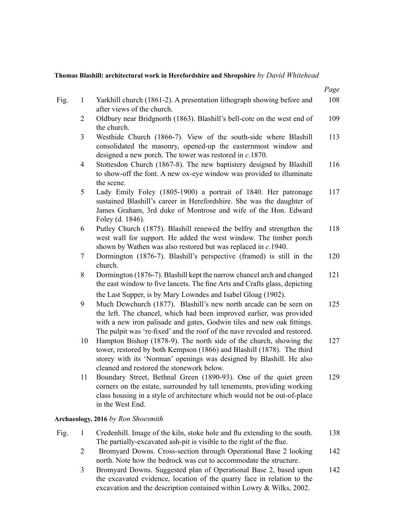#### **Thomas Blashill: architectural work in Herefordshire and Shropshire** *by David Whitehead*

|      |                |                                                                                                                                                                                                                                                                                                                                                                  | Page |
|------|----------------|------------------------------------------------------------------------------------------------------------------------------------------------------------------------------------------------------------------------------------------------------------------------------------------------------------------------------------------------------------------|------|
| Fig. | $\mathbf{1}$   | Yarkhill church (1861-2). A presentation lithograph showing before and<br>after views of the church.                                                                                                                                                                                                                                                             | 108  |
|      | 2              | Oldbury near Bridgnorth (1863). Blashill's bell-cote on the west end of<br>the church.                                                                                                                                                                                                                                                                           | 109  |
|      | 3              | Westhide Church (1866-7). View of the south-side where Blashill<br>consolidated the masonry, opened-up the easternmost window and<br>designed a new porch. The tower was restored in $c$ .1870.                                                                                                                                                                  | 113  |
|      | $\overline{4}$ | Stottesdon Church (1867-8). The new baptistery designed by Blashill<br>to show-off the font. A new ox-eye window was provided to illuminate<br>the scene.                                                                                                                                                                                                        | 116  |
|      | 5              | Lady Emily Foley (1805-1900) a portrait of 1840. Her patronage<br>sustained Blashill's career in Herefordshire. She was the daughter of<br>James Graham, 3rd duke of Montrose and wife of the Hon. Edward<br>Foley (d. 1846).                                                                                                                                    | 117  |
|      | 6              | Putley Church (1875). Blashill renewed the belfry and strengthen the<br>west wall for support. He added the west window. The timber porch<br>shown by Wathen was also restored but was replaced in $c.1940$ .                                                                                                                                                    | 118  |
|      | 7              | Dormington (1876-7). Blashill's perspective (framed) is still in the<br>church.                                                                                                                                                                                                                                                                                  | 120  |
|      | 8              | Dormington (1876-7). Blashill kept the narrow chancel arch and changed<br>the east window to five lancets. The fine Arts and Crafts glass, depicting                                                                                                                                                                                                             | 121  |
|      | 9              | the Last Supper, is by Mary Lowndes and Isabel Gloag (1902).<br>Much Dewchurch (1877). Blashill's new north arcade can be seen on<br>the left. The chancel, which had been improved earlier, was provided<br>with a new iron palisade and gates, Godwin tiles and new oak fittings.<br>The pulpit was 're-fixed' and the roof of the nave revealed and restored. | 125  |
|      | 10             | Hampton Bishop (1878-9). The north side of the church, showing the<br>tower, restored by both Kempson (1866) and Blashill (1878). The third<br>storey with its 'Norman' openings was designed by Blashill. He also<br>cleaned and restored the stonework below.                                                                                                  | 127  |
|      | 11             | Boundary Street, Bethnal Green (1890-93). One of the quiet green<br>corners on the estate, surrounded by tall tenements, providing working<br>class housing in a style of architecture which would not be out-of-place<br>in the West End.                                                                                                                       | 129  |
|      |                |                                                                                                                                                                                                                                                                                                                                                                  |      |

#### **Archaeology, 2016** *by Ron Shoesmith*

| Fig. | Credenhill. Image of the kiln, stoke hole and flu extending to the south. | 138 |
|------|---------------------------------------------------------------------------|-----|
|      | The partially-excavated ash-pit is visible to the right of the flue.      |     |

- 2 Bromyard Downs. Cross-section through Operational Base 2 looking north. Note how the bedrock was cut to accommodate the structure. 142
- 3 Bromyard Downs. Suggested plan of Operational Base 2, based upon the excavated evidence, location of the quarry face in relation to the excavation and the description contained within Lowry & Wilks, 2002. 142